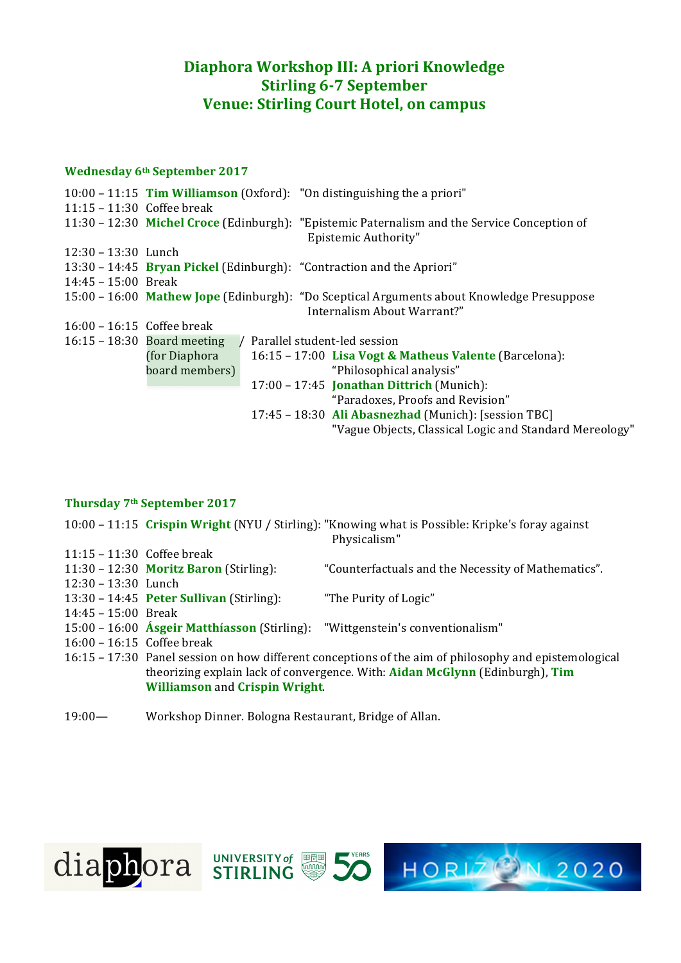## **Diaphora Workshop III: A priori Knowledge Stirling 6-7 September Venue: Stirling Court Hotel, on campus**

#### **Wednesday 6th September 2017**

|                            |                                                                                                                          | $10:00 - 11:15$ Tim Williamson (Oxford): "On distinguishing the a priori" |                                                                                              |
|----------------------------|--------------------------------------------------------------------------------------------------------------------------|---------------------------------------------------------------------------|----------------------------------------------------------------------------------------------|
| 11:15 – 11:30 Coffee break |                                                                                                                          |                                                                           |                                                                                              |
|                            |                                                                                                                          | Epistemic Authority"                                                      | 11:30 – 12:30 Michel Croce (Edinburgh): "Epistemic Paternalism and the Service Conception of |
| 12:30 - 13:30 Lunch        |                                                                                                                          |                                                                           |                                                                                              |
|                            | 13:30 – 14:45 Bryan Pickel (Edinburgh): "Contraction and the Apriori"                                                    |                                                                           |                                                                                              |
| $14:45 - 15:00$ Break      |                                                                                                                          |                                                                           |                                                                                              |
|                            | 15:00 - 16:00 Mathew Jope (Edinburgh): "Do Sceptical Arguments about Knowledge Presuppose<br>Internalism About Warrant?" |                                                                           |                                                                                              |
| 16:00 - 16:15 Coffee break |                                                                                                                          |                                                                           |                                                                                              |
|                            | $16:15 - 18:30$ Board meeting                                                                                            | Parallel student-led session                                              |                                                                                              |
|                            | (for Diaphora)                                                                                                           |                                                                           | 16:15 – 17:00 Lisa Vogt & Matheus Valente (Barcelona):                                       |
|                            | board members)                                                                                                           |                                                                           | "Philosophical analysis"                                                                     |
|                            |                                                                                                                          | $17:00 - 17:45$ Jonathan Dittrich (Munich):                               |                                                                                              |
|                            |                                                                                                                          |                                                                           | "Paradoxes, Proofs and Revision"                                                             |
|                            |                                                                                                                          |                                                                           | 17:45 - 18:30 Ali Abasnezhad (Munich): [session TBC]                                         |
|                            |                                                                                                                          |                                                                           | "Vague Objects, Classical Logic and Standard Mereology"                                      |

### **Thursday 7th September 2017**

10:00 - 11:15 Crispin Wright (NYU / Stirling): "Knowing what is Possible: Kripke's foray against Physicalism" 11:15 – 11:30 Coffee break 11:30 - 12:30 **Moritz Baron** (Stirling): "Counterfactuals and the Necessity of Mathematics". 12:30 – 13:30 Lunch 13:30 - 14:45 **Peter Sullivan** (Stirling): "The Purity of Logic" 14:45 – 15:00 Break 15:00 - 16:00 **Ásgeir Matthíasson** (Stirling): "Wittgenstein's conventionalism" 16:00 – 16:15 Coffee break 16:15 – 17:30 Panel session on how different conceptions of the aim of philosophy and epistemological theorizing explain lack of convergence. With: **Aidan McGlynn** (Edinburgh), Tim **Williamson** and **Crispin Wright**.

19:00— Workshop Dinner. Bologna Restaurant, Bridge of Allan.